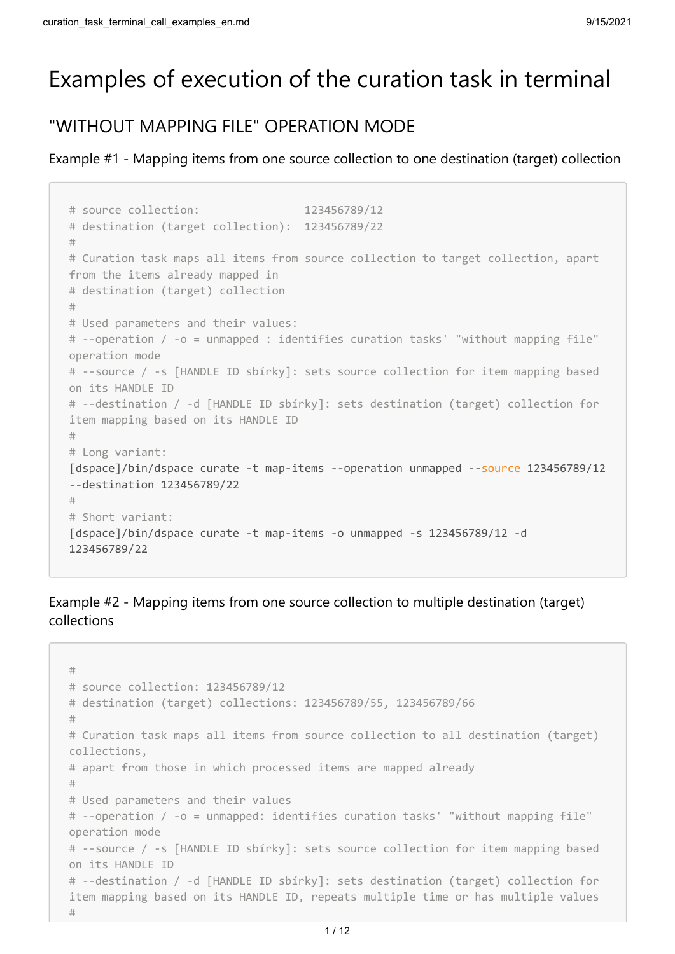# Examples of execution of the curation task in terminal

# "WITHOUT MAPPING FILE" OPERATION MODE

Example #1 - Mapping items from one source collection to one destination (target) collection

```
# source collection: 123456789/12 
# destination (target collection): 123456789/22 
# 
# Curation task maps all items from source collection to target collection, apart
from the items already mapped in
# destination (target) collection
# 
# Used parameters and their values: 
# --operation / -o = unmapped : identifies curation tasks' "without mapping file"
operation mode
# --source / -s [HANDLE ID sbírky]: sets source collection for item mapping based
on its HANDLE ID 
# --destination / -d [HANDLE ID sbírky]: sets destination (target) collection for
item mapping based on its HANDLE ID 
#
# Long variant: 
[dspace]/bin/dspace curate -t map-items --operation unmapped --source 123456789/12
--destination 123456789/22
#
# Short variant: 
[dspace]/bin/dspace curate -t map-items -o unmapped -s 123456789/12 -d
123456789/22
```
Example #2 - Mapping items from one source collection to multiple destination (target) collections

```
#
# source collection: 123456789/12 
# destination (target) collections: 123456789/55, 123456789/66 
# 
# Curation task maps all items from source collection to all destination (target)
collections,
# apart from those in which processed items are mapped already
# 
# Used parameters and their values
# --operation / -o = unmapped: identifies curation tasks' "without mapping file"
operation mode
# --source / -s [HANDLE ID sbírky]: sets source collection for item mapping based
on its HANDLE ID 
# --destination / -d [HANDLE ID sbírky]: sets destination (target) collection for
item mapping based on its HANDLE ID, repeats multiple time or has multiple values 
#
```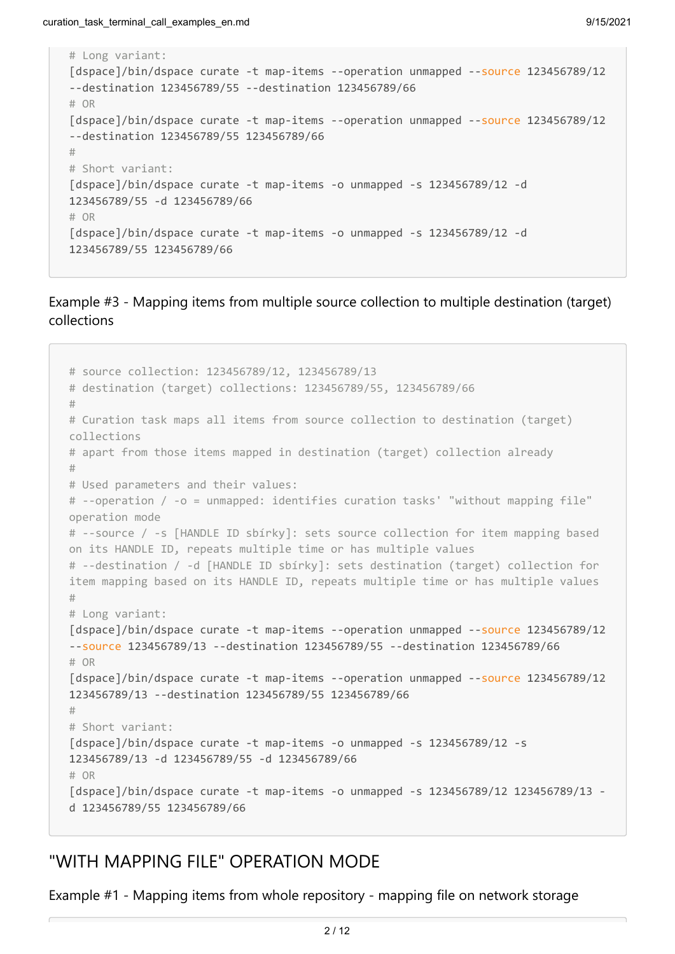```
# Long variant: 
[dspace]/bin/dspace curate -t map-items --operation unmapped --source 123456789/12
--destination 123456789/55 --destination 123456789/66 
# OR 
[dspace]/bin/dspace curate -t map-items --operation unmapped --source 123456789/12
--destination 123456789/55 123456789/66
# 
# Short variant: 
[dspace]/bin/dspace curate -t map-items -o unmapped -s 123456789/12 -d
123456789/55 -d 123456789/66 
# OR 
[dspace]/bin/dspace curate -t map-items -o unmapped -s 123456789/12 -d
123456789/55 123456789/66
```
#### Example #3 - Mapping items from multiple source collection to multiple destination (target) collections

```
# source collection: 123456789/12, 123456789/13 
# destination (target) collections: 123456789/55, 123456789/66 
# 
# Curation task maps all items from source collection to destination (target)
collections
# apart from those items mapped in destination (target) collection already
# 
# Used parameters and their values: 
# --operation / -o = unmapped: identifies curation tasks' "without mapping file"
operation mode 
# --source / -s [HANDLE ID sbírky]: sets source collection for item mapping based
on its HANDLE ID, repeats multiple time or has multiple values 
# --destination / -d [HANDLE ID sbírky]: sets destination (target) collection for
item mapping based on its HANDLE ID, repeats multiple time or has multiple values 
# 
# Long variant: 
[dspace]/bin/dspace curate -t map-items --operation unmapped --source 123456789/12
--source 123456789/13 --destination 123456789/55 --destination 123456789/66 
# OR 
[dspace]/bin/dspace curate -t map-items --operation unmapped --source 123456789/12
123456789/13 --destination 123456789/55 123456789/66 
# 
# Short variant: 
[dspace]/bin/dspace curate -t map-items -o unmapped -s 123456789/12 -s
123456789/13 -d 123456789/55 -d 123456789/66
# OR 
[dspace]/bin/dspace curate -t map-items -o unmapped -s 123456789/12 123456789/13 -
d 123456789/55 123456789/66
```
## "WITH MAPPING FILE" OPERATION MODE

Example #1 - Mapping items from whole repository - mapping file on network storage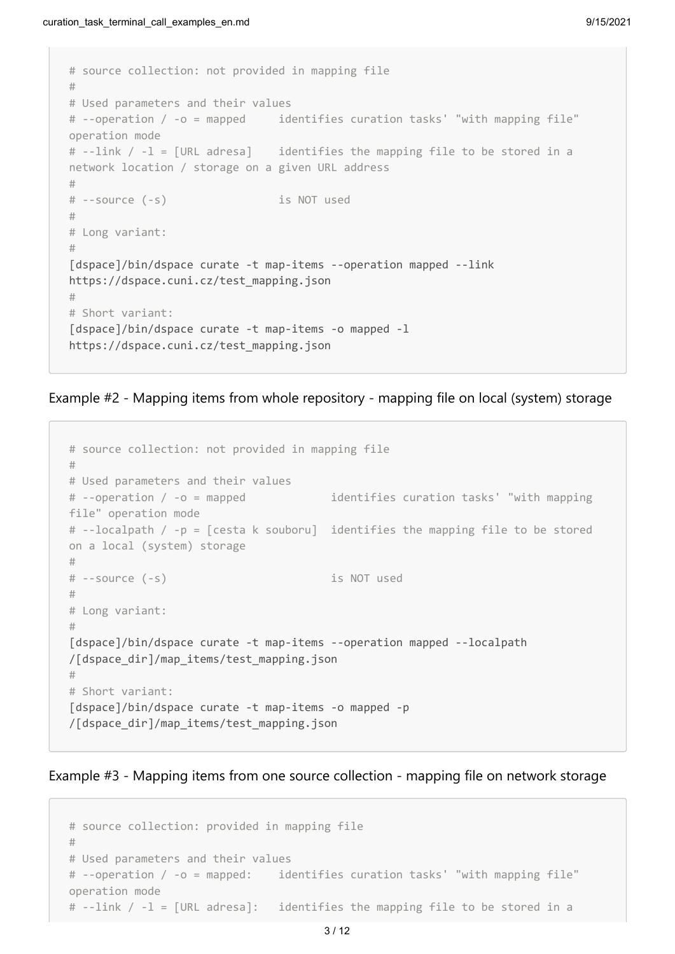```
# source collection: not provided in mapping file
#
# Used parameters and their values 
# --operation / -o = mapped identifies curation tasks' "with mapping file"
operation mode
# --link / -l = [URL adresa] identifies the mapping file to be stored in a
network location / storage on a given URL address
#
# --source (-s) is NOT used 
#
# Long variant: 
# 
[dspace]/bin/dspace curate -t map-items --operation mapped --link
https://dspace.cuni.cz/test_mapping.json 
# 
# Short variant: 
[dspace]/bin/dspace curate -t map-items -o mapped -l
https://dspace.cuni.cz/test_mapping.json
```
Example #2 - Mapping items from whole repository - mapping file on local (system) storage

```
# source collection: not provided in mapping file
#
# Used parameters and their values 
# --operation / -o = mapped identifies curation tasks' "with mapping
file" operation mode
# --localpath / -p = [cesta k souboru] identifies the mapping file to be stored
on a local (system) storage
#
# --source (-s) is NOT used
# 
# Long variant: 
# 
[dspace]/bin/dspace curate -t map-items --operation mapped --localpath
/[dspace_dir]/map_items/test_mapping.json
# 
# Short variant: 
[dspace]/bin/dspace curate -t map-items -o mapped -p
/[dspace_dir]/map_items/test_mapping.json
```
Example #3 - Mapping items from one source collection - mapping file on network storage

```
# source collection: provided in mapping file
# 
# Used parameters and their values 
# --operation / -o = mapped: identifies curation tasks' "with mapping file"
operation mode 
# --link / -l = [URL adresa]: identifies the mapping file to be stored in a
```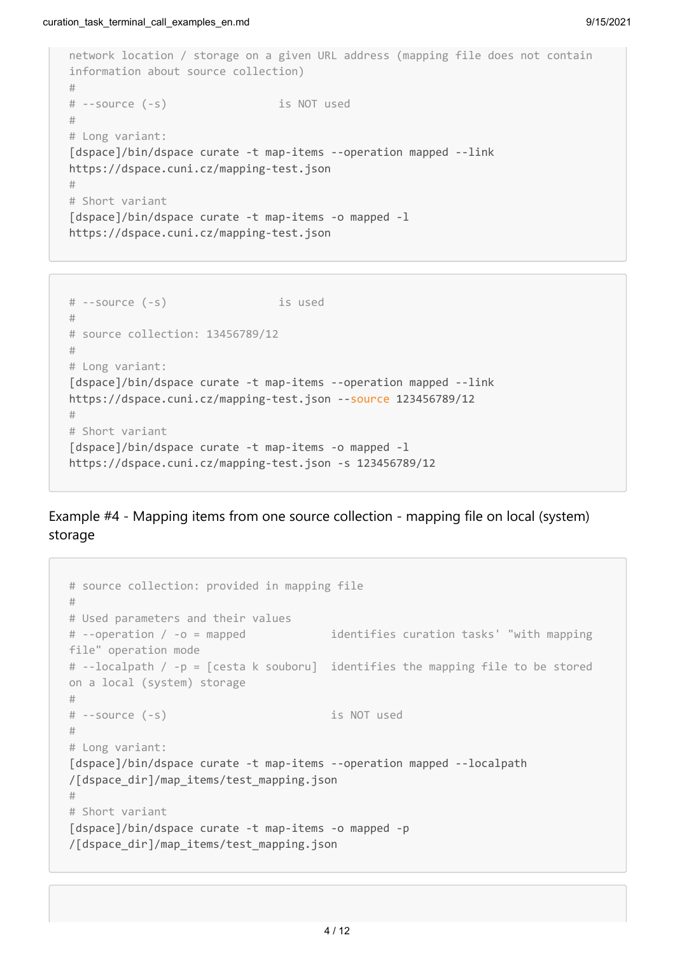```
network location / storage on a given URL address (mapping file does not contain
information about source collection)
#
# --source (-s) is NOT used 
# 
# Long variant: 
[dspace]/bin/dspace curate -t map-items --operation mapped --link
https://dspace.cuni.cz/mapping-test.json 
# 
# Short variant 
[dspace]/bin/dspace curate -t map-items -o mapped -l
https://dspace.cuni.cz/mapping-test.json
```

```
# --source (-s) is used
#
# source collection: 13456789/12
#
# Long variant: 
[dspace]/bin/dspace curate -t map-items --operation mapped --link
https://dspace.cuni.cz/mapping-test.json --source 123456789/12
# 
# Short variant 
[dspace]/bin/dspace curate -t map-items -o mapped -l
https://dspace.cuni.cz/mapping-test.json -s 123456789/12
```
Example #4 - Mapping items from one source collection - mapping file on local (system) storage

```
# source collection: provided in mapping file
# 
# Used parameters and their values 
# --operation / -o = mapped identifies curation tasks' "with mapping
file" operation mode 
# --localpath / -p = [cesta k souboru] identifies the mapping file to be stored
on a local (system) storage
#
# --source (-s) is NOT used 
# 
# Long variant: 
[dspace]/bin/dspace curate -t map-items --operation mapped --localpath
/[dspace_dir]/map_items/test_mapping.json
# 
# Short variant 
[dspace]/bin/dspace curate -t map-items -o mapped -p
/[dspace_dir]/map_items/test_mapping.json
```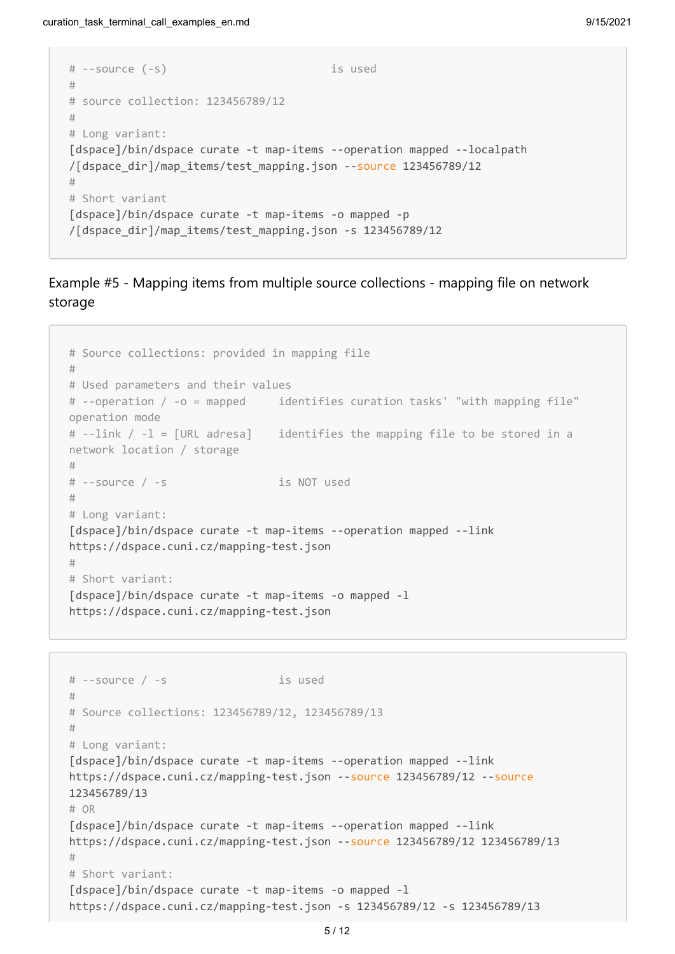```
# --source (-s) is used
#
# source collection: 123456789/12
#
# Long variant: 
[dspace]/bin/dspace curate -t map-items --operation mapped --localpath
/[dspace_dir]/map_items/test_mapping.json --source 123456789/12
# 
# Short variant 
[dspace]/bin/dspace curate -t map-items -o mapped -p
/[dspace_dir]/map_items/test_mapping.json -s 123456789/12
```
#### Example #5 - Mapping items from multiple source collections - mapping file on network storage

```
# Source collections: provided in mapping file
# 
# Used parameters and their values 
# --operation / -o = mapped identifies curation tasks' "with mapping file"
operation mode 
# --link / -l = [URL adresa] identifies the mapping file to be stored in a
network location / storage 
#
# --source / -s is NOT used
# 
# Long variant: 
[dspace]/bin/dspace curate -t map-items --operation mapped --link
https://dspace.cuni.cz/mapping-test.json
# 
# Short variant: 
[dspace]/bin/dspace curate -t map-items -o mapped -1
https://dspace.cuni.cz/mapping-test.json
```

```
# --source / -s is used
# 
# Source collections: 123456789/12, 123456789/13
#
# Long variant: 
[dspace]/bin/dspace curate -t map-items --operation mapped --link
https://dspace.cuni.cz/mapping-test.json --source 123456789/12 --source
123456789/13
# OR
[dspace]/bin/dspace curate -t map-items --operation mapped --link
https://dspace.cuni.cz/mapping-test.json --source 123456789/12 123456789/13
# 
# Short variant:
[dspace]/bin/dspace curate -t map-items -o mapped -1
https://dspace.cuni.cz/mapping-test.json -s 123456789/12 -s 123456789/13
```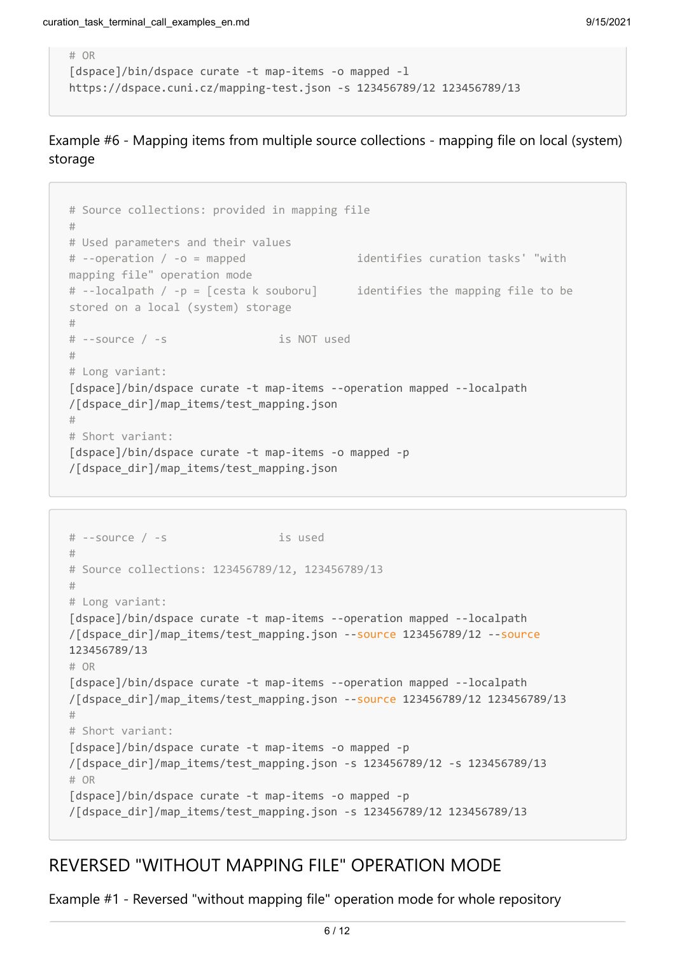```
# OR
[dspace]/bin/dspace curate -t map-items -o mapped -l
https://dspace.cuni.cz/mapping-test.json -s 123456789/12 123456789/13
```
#### Example #6 - Mapping items from multiple source collections - mapping file on local (system) storage

```
# Source collections: provided in mapping file
# 
# Used parameters and their values 
# --operation / -o = mapped identifies curation tasks' "with
mapping file" operation mode 
# --localpath / -p = [cesta k souboru] identifies the mapping file to be
stored on a local (system) storage
#
# --source / -s is NOT used
# 
# Long variant: 
[dspace]/bin/dspace curate -t map-items --operation mapped --localpath
/[dspace_dir]/map_items/test_mapping.json
# 
# Short variant: 
[dspace]/bin/dspace curate -t map-items -o mapped -p
/[dspace_dir]/map_items/test_mapping.json
```

```
# --source / -s is used
# 
# Source collections: 123456789/12, 123456789/13
#
# Long variant:
[dspace]/bin/dspace curate -t map-items --operation mapped --localpath
/[dspace_dir]/map_items/test_mapping.json --source 123456789/12 --source
123456789/13
# OR
[dspace]/bin/dspace curate -t map-items --operation mapped --localpath
/[dspace_dir]/map_items/test_mapping.json --source 123456789/12 123456789/13
# 
# Short variant:
[dspace]/bin/dspace curate -t map-items -o mapped -p
/[dspace dir]/map items/test mapping.json -s 123456789/12 -s 123456789/13
# OR
[dspace]/bin/dspace curate -t map-items -o mapped -p
/[dspace_dir]/map_items/test_mapping.json -s 123456789/12 123456789/13
```
## REVERSED "WITHOUT MAPPING FILE" OPERATION MODE

Example #1 - Reversed "without mapping file" operation mode for whole repository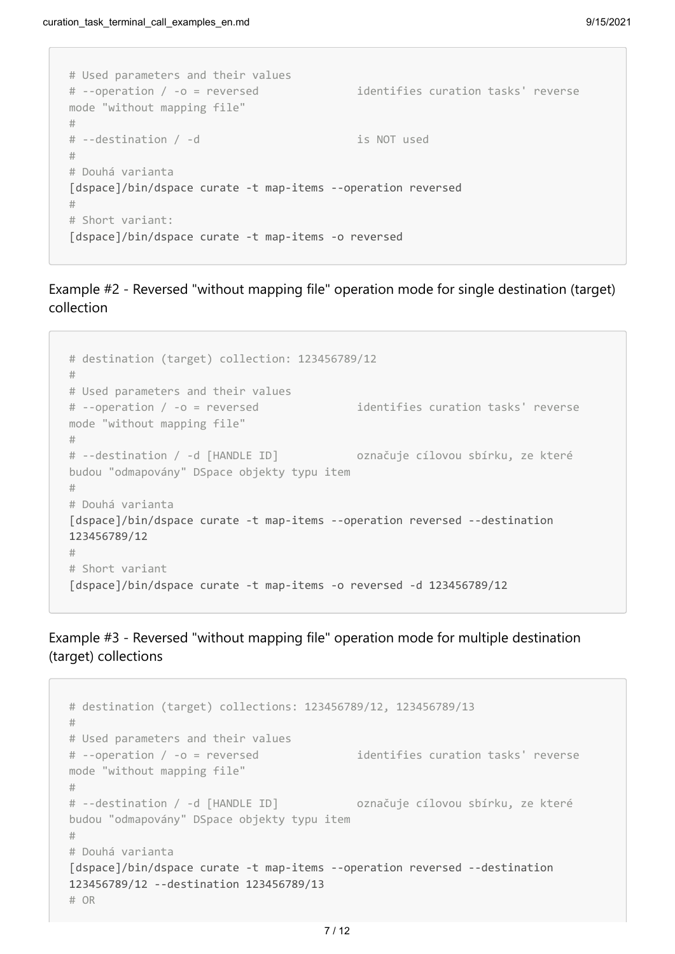```
# Used parameters and their values
# --operation / -o = reversed identifies curation tasks' reverse
mode "without mapping file" 
#
# --destination / -d is NOT used
#
# Douhá varianta
[dspace]/bin/dspace curate -t map-items --operation reversed
#
# Short variant:
[dspace]/bin/dspace curate -t map-items -o reversed
```
Example #2 - Reversed "without mapping file" operation mode for single destination (target) collection

```
# destination (target) collection: 123456789/12
#
# Used parameters and their values
# --operation / -o = reversed identifies curation tasks' reverse
mode "without mapping file" 
#
# --destination / -d [HANDLE ID] označuje cílovou sbírku, ze které
budou "odmapovány" DSpace objekty typu item
#
# Douhá varianta
[dspace]/bin/dspace curate -t map-items --operation reversed --destination
123456789/12
#
# Short variant
[dspace]/bin/dspace curate -t map-items -o reversed -d 123456789/12
```
Example #3 - Reversed "without mapping file" operation mode for multiple destination (target) collections

```
# destination (target) collections: 123456789/12, 123456789/13
#
# Used parameters and their values
# --operation / -o = reversed identifies curation tasks' reverse
mode "without mapping file" 
#
# --destination / -d [HANDLE ID] označuje cílovou sbírku, ze které
budou "odmapovány" DSpace objekty typu item
#
# Douhá varianta
[dspace]/bin/dspace curate -t map-items --operation reversed --destination
123456789/12 --destination 123456789/13
# OR
```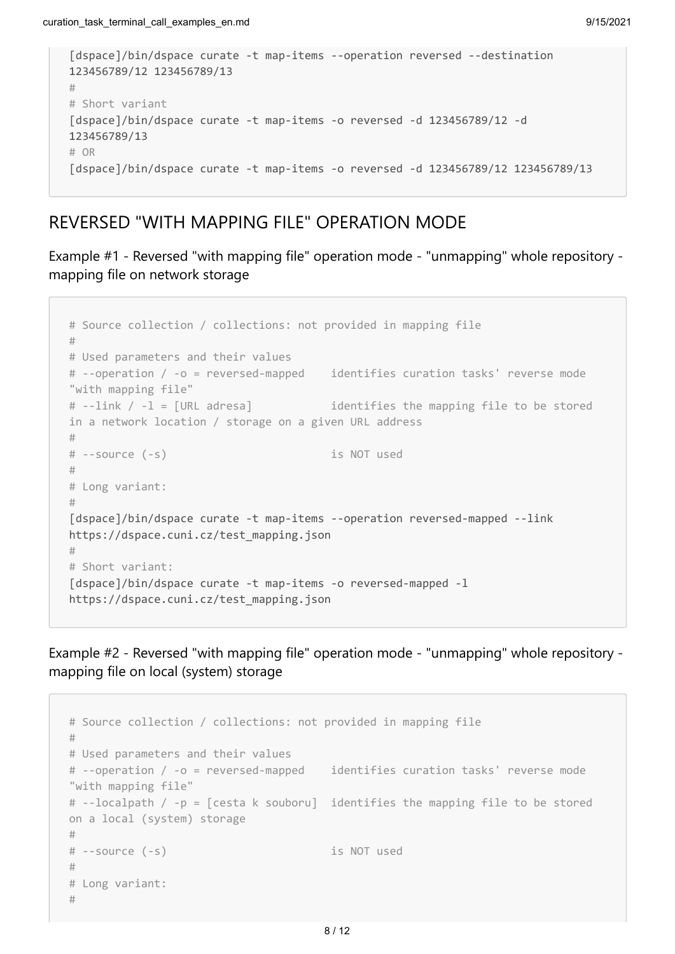```
[dspace]/bin/dspace curate -t map-items --operation reversed --destination
123456789/12 123456789/13
#
# Short variant
[dspace]/bin/dspace curate -t map-items -o reversed -d 123456789/12 -d
123456789/13
# OR
[dspace]/bin/dspace curate -t map-items -o reversed -d 123456789/12 123456789/13
```
### REVERSED "WITH MAPPING FILE" OPERATION MODE

Example #1 - Reversed "with mapping file" operation mode - "unmapping" whole repository mapping file on network storage

```
# Source collection / collections: not provided in mapping file
#
# Used parameters and their values 
# --operation / -o = reversed-mapped identifies curation tasks' reverse mode
"with mapping file" 
# --link / -l = [URL adresa] identifies the mapping file to be stored
in a network location / storage on a given URL address
#
# --source (-s) is NOT used 
#
# Long variant: 
# 
[dspace]/bin/dspace curate -t map-items --operation reversed-mapped --link
https://dspace.cuni.cz/test_mapping.json 
# 
# Short variant: 
[dspace]/bin/dspace curate -t map-items -o reversed-mapped -1
https://dspace.cuni.cz/test_mapping.json
```
Example #2 - Reversed "with mapping file" operation mode - "unmapping" whole repository mapping file on local (system) storage

```
# Source collection / collections: not provided in mapping file
#
# Used parameters and their values
# --operation / -o = reversed-mapped identifies curation tasks' reverse mode
"with mapping file" 
# --localpath / -p = [cesta k souboru] identifies the mapping file to be stored
on a local (system) storage
#
# --source (-s) is NOT used
# 
# Long variant: 
#
```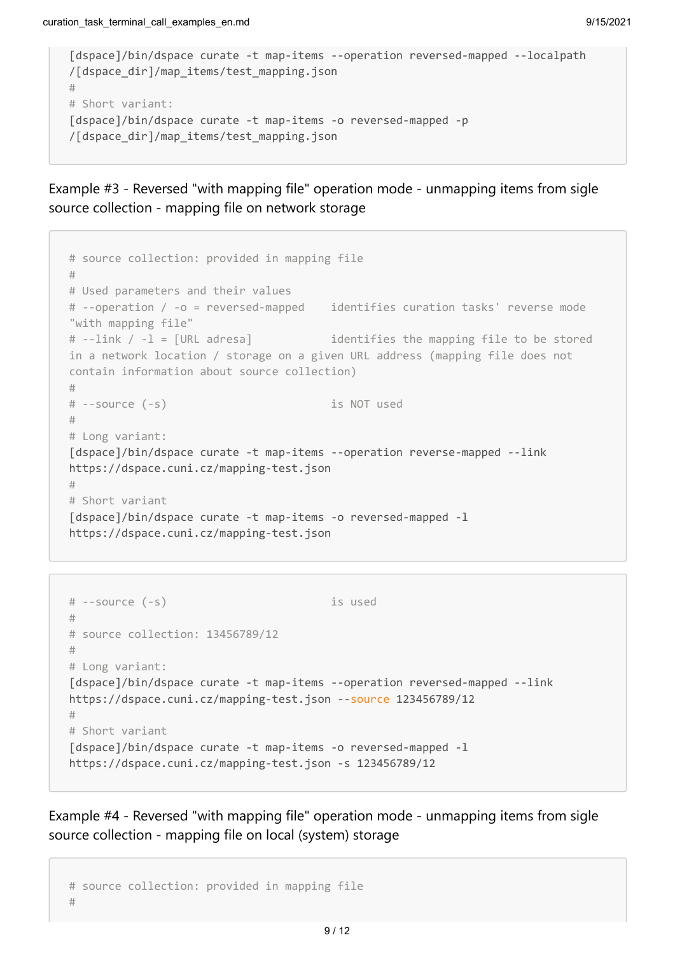```
[dspace]/bin/dspace curate -t map-items --operation reversed-mapped --localpath
/[dspace_dir]/map_items/test_mapping.json
# 
# Short variant: 
[dspace]/bin/dspace curate -t map-items -o reversed-mapped -p
/[dspace_dir]/map_items/test_mapping.json
```
Example #3 - Reversed "with mapping file" operation mode - unmapping items from sigle source collection - mapping file on network storage

```
# source collection: provided in mapping file
# 
# Used parameters and their values 
# --operation / -o = reversed-mapped identifies curation tasks' reverse mode
"with mapping file" 
# --link / -l = [URL adresa] identifies the mapping file to be stored
in a network location / storage on a given URL address (mapping file does not
contain information about source collection)
#
# --source (-s) is NOT used 
# 
# Long variant: 
[dspace]/bin/dspace curate -t map-items --operation reverse-mapped --link
https://dspace.cuni.cz/mapping-test.json 
# 
# Short variant 
[dspace]/bin/dspace curate -t map-items -o reversed-mapped -l
https://dspace.cuni.cz/mapping-test.json
```

```
# --source (-s) is used
#
# source collection: 13456789/12
#
# Long variant: 
[dspace]/bin/dspace curate -t map-items --operation reversed-mapped --link
https://dspace.cuni.cz/mapping-test.json --source 123456789/12
# 
# Short variant 
[dspace]/bin/dspace curate -t map-items -o reversed-mapped -l
https://dspace.cuni.cz/mapping-test.json -s 123456789/12
```
Example #4 - Reversed "with mapping file" operation mode - unmapping items from sigle source collection - mapping file on local (system) storage

```
# source collection: provided in mapping file
#
```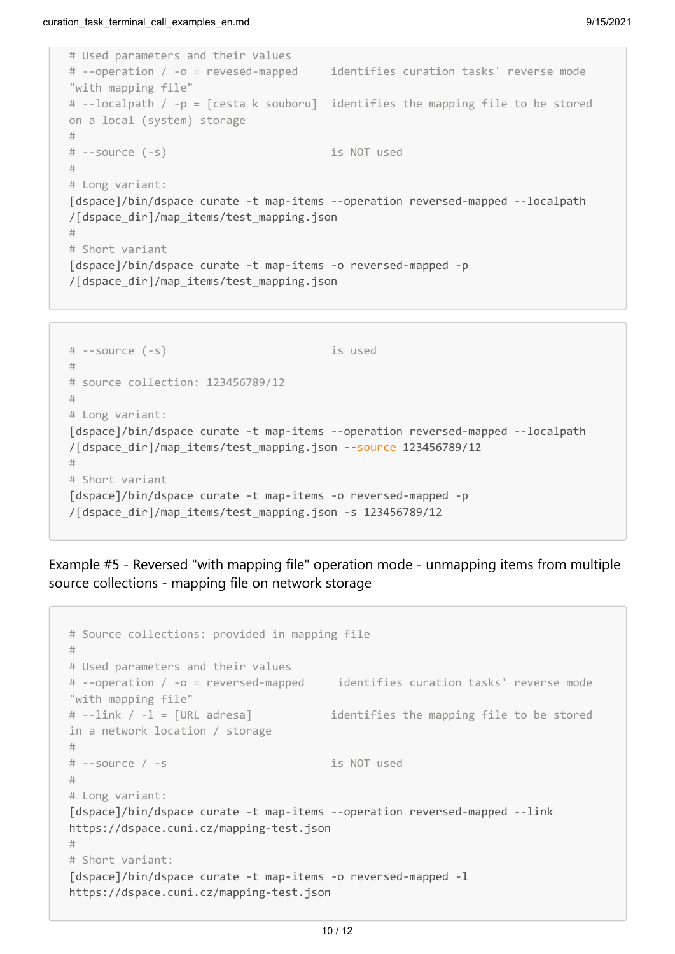```
# Used parameters and their values 
# --operation / -o = revesed-mapped identifies curation tasks' reverse mode
"with mapping file" 
# --localpath / -p = [cesta k souboru] identifies the mapping file to be stored
on a local (system) storage
#
# --source (-s) is NOT used 
# 
# Long variant: 
[dspace]/bin/dspace curate -t map-items --operation reversed-mapped --localpath
/[dspace_dir]/map_items/test_mapping.json
# 
# Short variant 
[dspace]/bin/dspace curate -t map-items -o reversed-mapped -p
/[dspace_dir]/map_items/test_mapping.json
```

```
# --source (-s) is used
#
# source collection: 123456789/12
#
# Long variant: 
[dspace]/bin/dspace curate -t map-items --operation reversed-mapped --localpath
/[dspace_dir]/map_items/test_mapping.json --source 123456789/12
# 
# Short variant 
[dspace]/bin/dspace curate -t map-items -o reversed-mapped -p
/[dspace_dir]/map_items/test_mapping.json -s 123456789/12
```
Example #5 - Reversed "with mapping file" operation mode - unmapping items from multiple source collections - mapping file on network storage

```
# Source collections: provided in mapping file
# 
# Used parameters and their values 
# --operation / -o = reversed-mapped identifies curation tasks' reverse mode
"with mapping file" 
# --link / -l = [URL adresa] identifies the mapping file to be stored
in a network location / storage
#
# --source / -s is NOT used
# 
# Long variant: 
[dspace]/bin/dspace curate -t map-items --operation reversed-mapped --link
https://dspace.cuni.cz/mapping-test.json
# 
# Short variant: 
[dspace]/bin/dspace curate -t map-items -o reversed-mapped -l
https://dspace.cuni.cz/mapping-test.json
```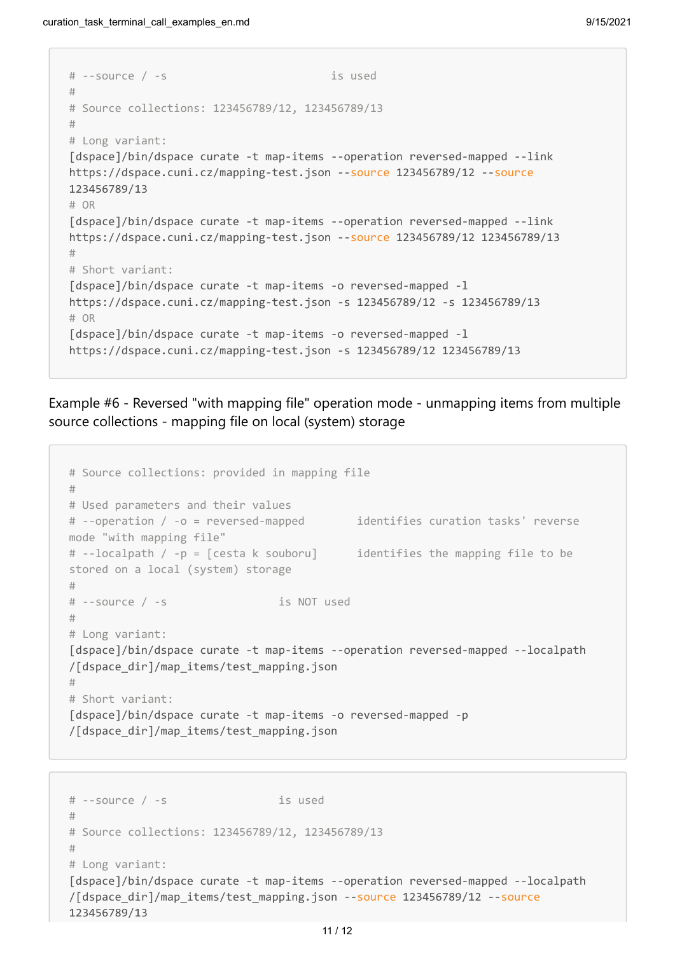```
# --source / -s is used
# 
# Source collections: 123456789/12, 123456789/13
#
# Long variant: 
[dspace]/bin/dspace curate -t map-items --operation reversed-mapped --link
https://dspace.cuni.cz/mapping-test.json --source 123456789/12 --source
123456789/13
# OR
[dspace]/bin/dspace curate -t map-items --operation reversed-mapped --link
https://dspace.cuni.cz/mapping-test.json --source 123456789/12 123456789/13
# 
# Short variant:
[dspace]/bin/dspace curate -t map-items -o reversed-mapped -l
https://dspace.cuni.cz/mapping-test.json -s 123456789/12 -s 123456789/13
# OR
[dspace]/bin/dspace curate -t map-items -o reversed-mapped -l
https://dspace.cuni.cz/mapping-test.json -s 123456789/12 123456789/13
```
Example #6 - Reversed "with mapping file" operation mode - unmapping items from multiple source collections - mapping file on local (system) storage

```
# Source collections: provided in mapping file
# 
# Used parameters and their values 
# --operation / -o = reversed-mapped identifies curation tasks' reverse
mode "with mapping file" 
# --localpath / -p = [cesta k souboru] identifies the mapping file to be
stored on a local (system) storage
#
# --source / -s is NOT used
# 
# Long variant: 
[dspace]/bin/dspace curate -t map-items --operation reversed-mapped --localpath
/[dspace_dir]/map_items/test_mapping.json
# 
# Short variant: 
[dspace]/bin/dspace curate -t map-items -o reversed-mapped -p
/[dspace_dir]/map_items/test_mapping.json
```

```
# --source / -s is used
# 
# Source collections: 123456789/12, 123456789/13
#
# Long variant:
[dspace]/bin/dspace curate -t map-items --operation reversed-mapped --localpath
/[dspace_dir]/map_items/test_mapping.json --source 123456789/12 --source
123456789/13
```